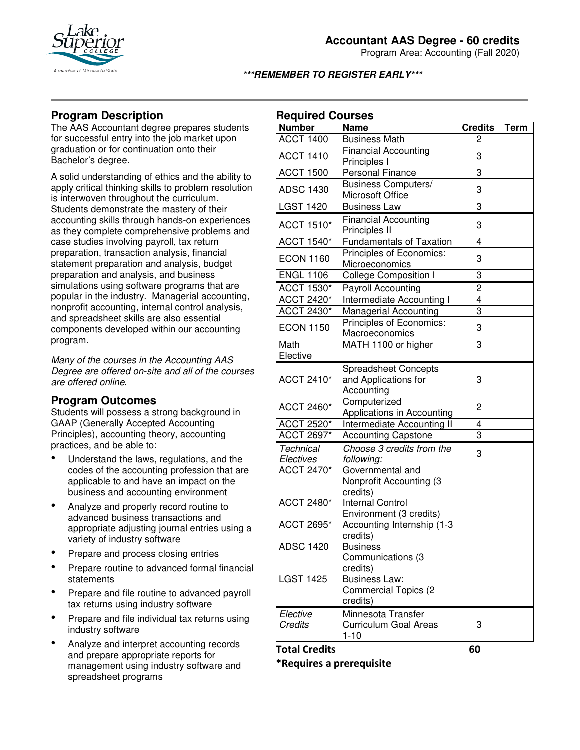

Program Area: Accounting (Fall 2020)

## **\*\*\*REMEMBER TO REGISTER EARLY\*\*\***

# **Program Description**

The AAS Accountant degree prepares students for successful entry into the job market upon graduation or for continuation onto their Bachelor's degree.

A solid understanding of ethics and the ability to apply critical thinking skills to problem resolution is interwoven throughout the curriculum. Students demonstrate the mastery of their accounting skills through hands-on experiences as they complete comprehensive problems and case studies involving payroll, tax return preparation, transaction analysis, financial statement preparation and analysis, budget preparation and analysis, and business simulations using software programs that are popular in the industry. Managerial accounting, nonprofit accounting, internal control analysis, and spreadsheet skills are also essential components developed within our accounting program.

*Many of the courses in the Accounting AAS Degree are offered on-site and all of the courses are offered online.* 

# **Program Outcomes**

Students will possess a strong background in GAAP (Generally Accepted Accounting Principles), accounting theory, accounting practices, and be able to:

- Understand the laws, regulations, and the codes of the accounting profession that are applicable to and have an impact on the business and accounting environment
- Analyze and properly record routine to advanced business transactions and appropriate adjusting journal entries using a variety of industry software
- Prepare and process closing entries
- Prepare routine to advanced formal financial statements
- Prepare and file routine to advanced payroll tax returns using industry software
- Prepare and file individual tax returns using industry software
- Analyze and interpret accounting records and prepare appropriate reports for management using industry software and spreadsheet programs

# **Required Courses**

| noqunou or<br><b>Number</b>                        | ,uı əcə<br><b>Name</b>                                                                             | <b>Credits</b> | <b>Term</b> |
|----------------------------------------------------|----------------------------------------------------------------------------------------------------|----------------|-------------|
| <b>ACCT 1400</b>                                   | <b>Business Math</b>                                                                               | 2              |             |
| <b>ACCT 1410</b>                                   | <b>Financial Accounting</b><br>Principles I                                                        | 3              |             |
| <b>ACCT 1500</b>                                   | <b>Personal Finance</b>                                                                            | 3              |             |
| <b>ADSC 1430</b>                                   | <b>Business Computers/</b><br>Microsoft Office                                                     | 3              |             |
| <b>LGST 1420</b>                                   | <b>Business Law</b>                                                                                | 3              |             |
| <b>ACCT 1510*</b>                                  | <b>Financial Accounting</b><br>Principles II                                                       | 3              |             |
| <b>ACCT 1540*</b>                                  | <b>Fundamentals of Taxation</b>                                                                    | 4              |             |
| <b>ECON 1160</b>                                   | Principles of Economics:<br>Microeconomics                                                         | 3              |             |
| <b>ENGL 1106</b>                                   | <b>College Composition I</b>                                                                       | 3              |             |
| ACCT 1530*                                         | <b>Payroll Accounting</b>                                                                          | $\overline{c}$ |             |
| ACCT 2420*                                         | Intermediate Accounting I                                                                          | $\overline{4}$ |             |
| <b>ACCT 2430*</b>                                  | <b>Managerial Accounting</b>                                                                       | 3              |             |
| <b>ECON 1150</b>                                   | Principles of Economics:<br>Macroeconomics                                                         | 3              |             |
| Math                                               | MATH 1100 or higher                                                                                | 3              |             |
| Elective                                           |                                                                                                    |                |             |
| <b>ACCT 2410*</b>                                  | <b>Spreadsheet Concepts</b><br>and Applications for<br>Accounting                                  | 3              |             |
| ACCT 2460*                                         | Computerized<br>Applications in Accounting                                                         | 2              |             |
| <b>ACCT 2520*</b>                                  | Intermediate Accounting II                                                                         | 4              |             |
| <b>ACCT 2697*</b>                                  | <b>Accounting Capstone</b>                                                                         | $\overline{3}$ |             |
| <b>Technical</b><br>Electives<br><b>ACCT 2470*</b> | Choose 3 credits from the<br>following:<br>Governmental and<br>Nonprofit Accounting (3<br>credits) | 3              |             |
| <b>ACCT 2480*</b>                                  | <b>Internal Control</b><br>Environment (3 credits)                                                 |                |             |
| <b>ACCT 2695*</b>                                  | Accounting Internship (1-3<br>credits)                                                             |                |             |
| <b>ADSC 1420</b>                                   | <b>Business</b><br>Communications (3<br>credits)                                                   |                |             |
| <b>LGST 1425</b>                                   | <b>Business Law:</b><br><b>Commercial Topics (2</b><br>credits)                                    |                |             |
| Elective<br>Credits                                | Minnesota Transfer<br><b>Curriculum Goal Areas</b><br>$1 - 10$                                     | 3              |             |
| <b>Total Credits</b>                               |                                                                                                    | 60             |             |

## **\*Requires a prerequisite**